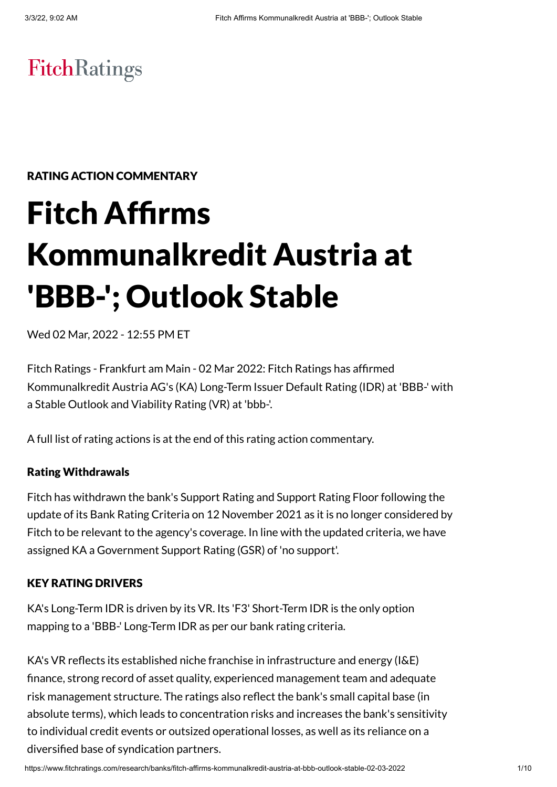# FitchRatings

## RATING ACTION COMMENTARY

# Fitch Affirms Kommunalkredit Austria at 'BBB-'; Outlook Stable

Wed 02 Mar, 2022 - 12:55 PM ET

Fitch Ratings - Frankfurt am Main - 02 Mar 2022: Fitch Ratings has affirmed Kommunalkredit Austria AG's (KA) Long-Term Issuer Default Rating (IDR) at 'BBB-' with a Stable Outlook and Viability Rating (VR) at 'bbb-'.

A full list of rating actions is at the end of this rating action commentary.

#### Rating Withdrawals

Fitch has withdrawn the bank's Support Rating and Support Rating Floor following the update of its Bank Rating Criteria on 12 November 2021 as it is no longer considered by Fitch to be relevant to the agency's coverage. In line with the updated criteria, we have assigned KA a Government Support Rating (GSR) of 'no support'.

#### KEY RATING DRIVERS

KA's Long-Term IDR is driven by its VR. Its 'F3' Short-Term IDR is the only option mapping to a 'BBB-' Long-Term IDR as per our bank rating criteria.

KA's VR reflects its established niche franchise in infrastructure and energy (I&E) finance, strong record of asset quality, experienced management team and adequate risk management structure. The ratings also reflect the bank's small capital base (in absolute terms), which leads to concentration risks and increases the bank's sensitivity to individual credit events or outsized operational losses, as well as its reliance on a diversified base of syndication partners.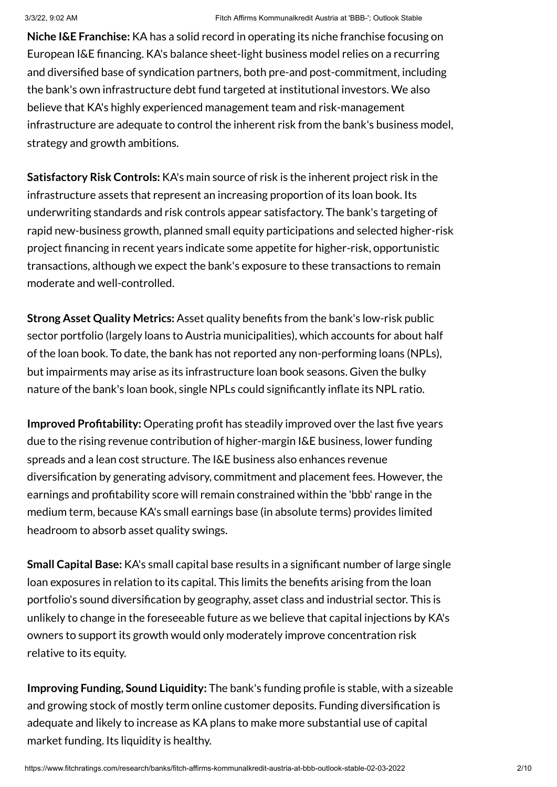**Niche I&E Franchise:** KA has a solid record in operating its niche franchise focusing on European I&E financing. KA's balance sheet-light business model relies on a recurring and diversified base of syndication partners, both pre-and post-commitment, including the bank's own infrastructure debt fund targeted at institutional investors. We also believe that KA's highly experienced management team and risk-management infrastructure are adequate to control the inherent risk from the bank's business model, strategy and growth ambitions.

**Satisfactory Risk Controls:** KA's main source of risk is the inherent project risk in the infrastructure assets that represent an increasing proportion of its loan book. Its underwriting standards and risk controls appear satisfactory. The bank's targeting of rapid new-business growth, planned small equity participations and selected higher-risk project financing in recent years indicate some appetite for higher-risk, opportunistic transactions, although we expect the bank's exposure to these transactions to remain moderate and well-controlled.

**Strong Asset Quality Metrics:** Asset quality benefits from the bank's low-risk public sector portfolio (largely loans to Austria municipalities), which accounts for about half of the loan book. To date, the bank has not reported any non-performing loans (NPLs), but impairments may arise as its infrastructure loan book seasons. Given the bulky nature of the bank's loan book, single NPLs could significantly inflate its NPL ratio.

**Improved Profitability:** Operating profit has steadily improved over the last five years due to the rising revenue contribution of higher-margin I&E business, lower funding spreads and a lean cost structure. The I&E business also enhances revenue diversification by generating advisory, commitment and placement fees. However, the earnings and profitability score will remain constrained within the 'bbb' range in the medium term, because KA's small earnings base (in absolute terms) provides limited headroom to absorb asset quality swings.

**Small Capital Base:** KA's small capital base results in a significant number of large single loan exposures in relation to its capital. This limits the benefits arising from the loan portfolio's sound diversification by geography, asset class and industrial sector. This is unlikely to change in the foreseeable future as we believe that capital injections by KA's owners to support its growth would only moderately improve concentration risk relative to its equity.

**Improving Funding, Sound Liquidity:** The bank's funding profile is stable, with a sizeable and growing stock of mostly term online customer deposits. Funding diversification is adequate and likely to increase as KA plans to make more substantial use of capital market funding. Its liquidity is healthy.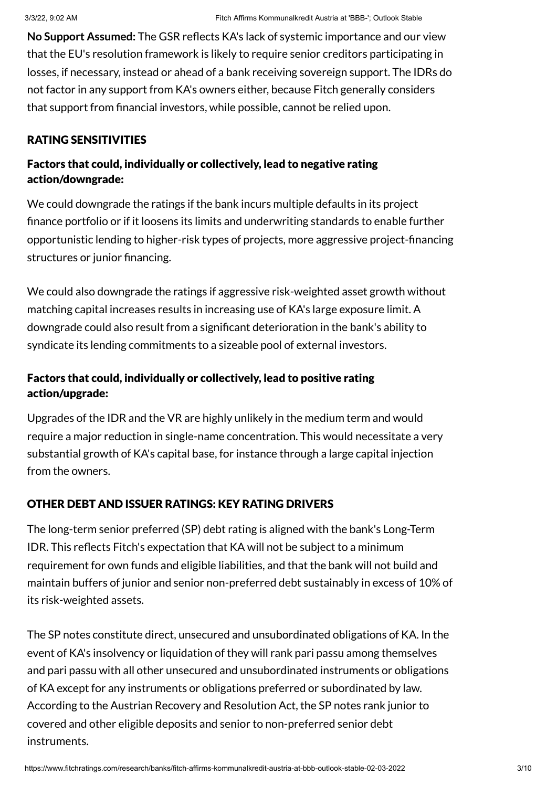**No Support Assumed:** The GSR reflects KA's lack of systemic importance and our view that the EU's resolution framework is likely to require senior creditors participating in losses, if necessary, instead or ahead of a bank receiving sovereign support. The IDRs do not factor in any support from KA's owners either, because Fitch generally considers that support from financial investors, while possible, cannot be relied upon.

#### RATING SENSITIVITIES

# Factors that could, individually or collectively, lead to negative rating action/downgrade:

We could downgrade the ratings if the bank incurs multiple defaults in its project finance portfolio or if it loosens its limits and underwriting standards to enable further opportunistic lending to higher-risk types of projects, more aggressive project-financing structures or junior financing.

We could also downgrade the ratings if aggressive risk-weighted asset growth without matching capital increases results in increasing use of KA's large exposure limit. A downgrade could also result from a significant deterioration in the bank's ability to syndicate its lending commitments to a sizeable pool of external investors.

# Factors that could, individually or collectively, lead to positive rating action/upgrade:

Upgrades of the IDR and the VR are highly unlikely in the medium term and would require a major reduction in single-name concentration. This would necessitate a very substantial growth of KA's capital base, for instance through a large capital injection from the owners.

#### OTHER DEBT AND ISSUER RATINGS: KEY RATING DRIVERS

The long-term senior preferred (SP) debt rating is aligned with the bank's Long-Term IDR. This reflects Fitch's expectation that KA will not be subject to a minimum requirement for own funds and eligible liabilities, and that the bank will not build and maintain buffers of junior and senior non-preferred debt sustainably in excess of 10% of its risk-weighted assets.

The SP notes constitute direct, unsecured and unsubordinated obligations of KA. In the event of KA's insolvency or liquidation of they will rank pari passu among themselves and pari passu with all other unsecured and unsubordinated instruments or obligations of KA except for any instruments or obligations preferred or subordinated by law. According to the Austrian Recovery and Resolution Act, the SP notes rank junior to covered and other eligible deposits and senior to non-preferred senior debt instruments.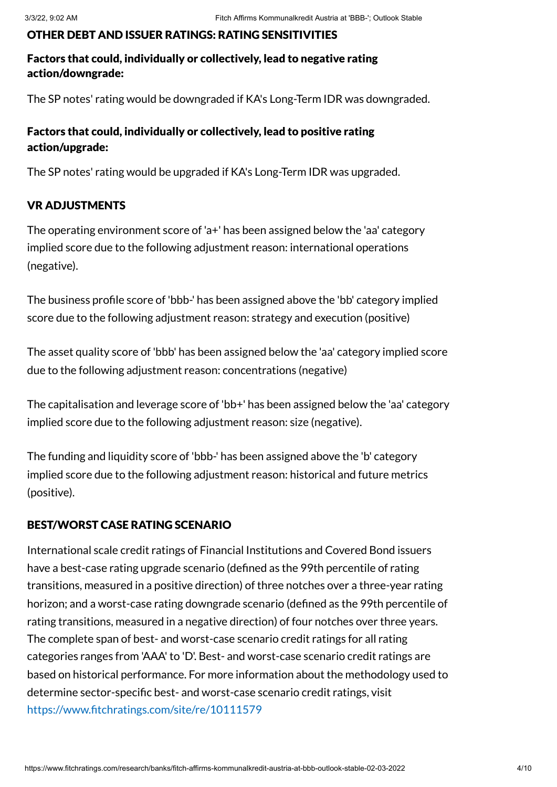## OTHER DEBT AND ISSUER RATINGS: RATING SENSITIVITIES

## Factors that could, individually or collectively, lead to negative rating action/downgrade:

The SP notes' rating would be downgraded if KA's Long-Term IDR was downgraded.

# Factors that could, individually or collectively, lead to positive rating action/upgrade:

The SP notes' rating would be upgraded if KA's Long-Term IDR was upgraded.

#### VR ADJUSTMENTS

The operating environment score of 'a+' has been assigned below the 'aa' category implied score due to the following adjustment reason: international operations (negative).

The business profile score of 'bbb-' has been assigned above the 'bb' category implied score due to the following adjustment reason: strategy and execution (positive)

The asset quality score of 'bbb' has been assigned below the 'aa' category implied score due to the following adjustment reason: concentrations (negative)

The capitalisation and leverage score of 'bb+' has been assigned below the 'aa' category implied score due to the following adjustment reason: size (negative).

The funding and liquidity score of 'bbb-' has been assigned above the 'b' category implied score due to the following adjustment reason: historical and future metrics (positive).

#### BEST/WORST CASE RATING SCENARIO

International scale credit ratings of Financial Institutions and Covered Bond issuers have a best-case rating upgrade scenario (defined as the 99th percentile of rating transitions, measured in a positive direction) of three notches over a three-year rating horizon; and a worst-case rating downgrade scenario (defined as the 99th percentile of rating transitions, measured in a negative direction) of four notches over three years. The complete span of best- and worst-case scenario credit ratings for all rating categories ranges from 'AAA' to 'D'. Best- and worst-case scenario credit ratings are based on historical performance. For more information about the methodology used to determine sector-specific best- and worst-case scenario credit ratings, visit <https://www.fitchratings.com/site/re/10111579>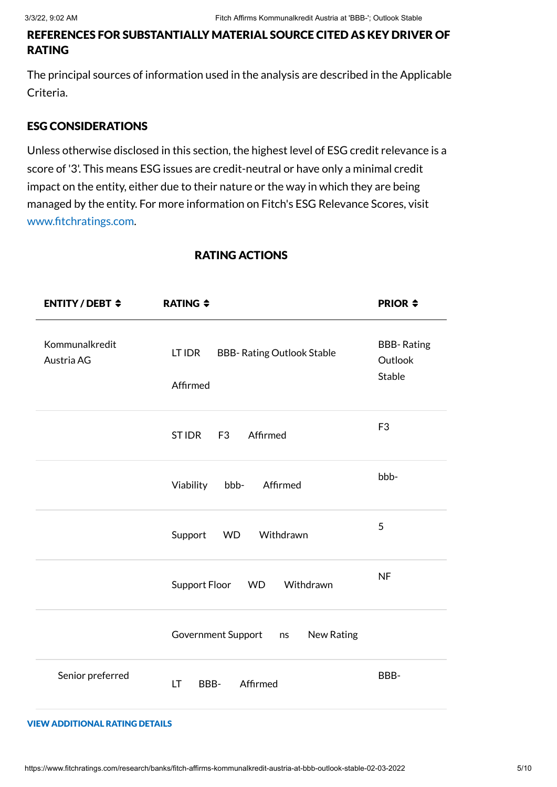# REFERENCES FOR SUBSTANTIALLY MATERIAL SOURCE CITED AS KEY DRIVER OF RATING

The principal sources of information used in the analysis are described in the Applicable Criteria.

#### ESG CONSIDERATIONS

Unless otherwise disclosed in this section, the highest level of ESG credit relevance is a score of '3'. This means ESG issues are credit-neutral or have only a minimal credit impact on the entity, either due to their nature or the way in which they are being managed by the entity. For more information on Fitch's ESG Relevance Scores, visit [www.fitchratings.com](http://www.fitchratings.com/).

| <b>ENTITY/DEBT <math>\div</math></b> | RATING $\div$                                           | <b>PRIOR <math>\triangleq</math></b>   |
|--------------------------------------|---------------------------------------------------------|----------------------------------------|
| Kommunalkredit<br>Austria AG         | LT IDR<br><b>BBB- Rating Outlook Stable</b><br>Affirmed | <b>BBB-Rating</b><br>Outlook<br>Stable |
|                                      | <b>STIDR</b><br>Affirmed<br>F <sub>3</sub>              | F <sub>3</sub>                         |
|                                      | Viability<br>Affirmed<br>bbb-                           | bbb-                                   |
|                                      | Support<br><b>WD</b><br>Withdrawn                       | 5                                      |
|                                      | Support Floor<br><b>WD</b><br>Withdrawn                 | <b>NF</b>                              |
|                                      | Government Support<br>New Rating<br>ns                  |                                        |
| Senior preferred                     | Affirmed<br>LT<br>BBB-                                  | BBB-                                   |

#### RATING ACTIONS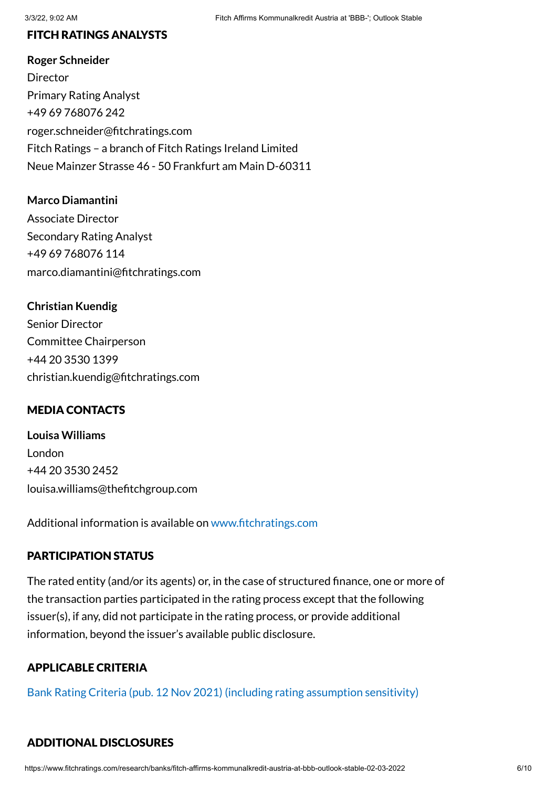#### FITCH RATINGS ANALYSTS

**Roger Schneider Director** Primary Rating Analyst +49 69 768076 242 roger.schneider@fitchratings.com Fitch Ratings – a branch of Fitch Ratings Ireland Limited Neue Mainzer Strasse 46 - 50 Frankfurt am Main D-60311

#### **Marco Diamantini**

Associate Director Secondary Rating Analyst +49 69 768076 114 marco.diamantini@fitchratings.com

#### **Christian Kuendig**

Senior Director Committee Chairperson +44 20 3530 1399 christian.kuendig@fitchratings.com

#### MEDIA CONTACTS

**Louisa Williams** London +44 20 3530 2452 louisa.williams@thefitchgroup.com

Additional information is available on [www.fitchratings.com](http://www.fitchratings.com/)

#### PARTICIPATION STATUS

The rated entity (and/or its agents) or, in the case of structured finance, one or more of the transaction parties participated in the rating process except that the following issuer(s), if any, did not participate in the rating process, or provide additional information, beyond the issuer's available public disclosure.

#### APPLICABLE CRITERIA

Bank Rating Criteria (pub. 12 Nov 2021) (including rating [assumption](https://www.fitchratings.com/research/banks/bank-rating-criteria-12-11-2021) sensitivity)

#### ADDITIONAL DISCLOSURES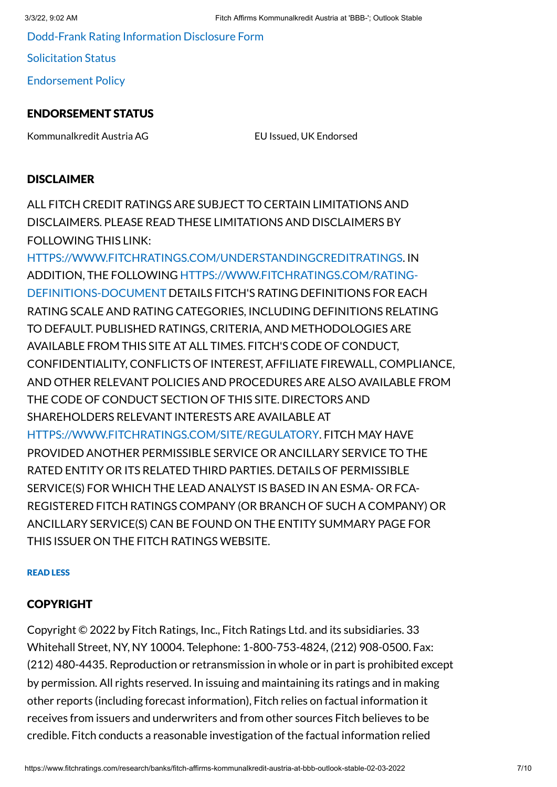[Dodd-Frank](https://www.fitchratings.com/research/banks/fitch-affirms-kommunalkredit-austria-at-bbb-outlook-stable-02-03-2022/dodd-frank-disclosure) Rating Information Disclosure Form

Solicitation Status

[Endorsement](#page-8-0) Policy

#### ENDORSEMENT STATUS

Kommunalkredit Austria AG **EU Issued, UK Endorsed** 

#### DISCLAIMER

ALL FITCH CREDIT RATINGS ARE SUBJECT TO CERTAIN LIMITATIONS AND DISCLAIMERS. PLEASE READ THESE LIMITATIONS AND DISCLAIMERS BY FOLLOWING THIS LINK:

[HTTPS://WWW.FITCHRATINGS.COM/UNDERSTANDINGCREDITRATINGS](https://www.fitchratings.com/UNDERSTANDINGCREDITRATINGS). IN ADDITION, THE FOLLOWING [HTTPS://WWW.FITCHRATINGS.COM/RATING-](https://www.fitchratings.com/rating-definitions-document)DEFINITIONS-DOCUMENT DETAILS FITCH'S RATING DEFINITIONS FOR EACH RATING SCALE AND RATING CATEGORIES, INCLUDING DEFINITIONS RELATING TO DEFAULT. PUBLISHED RATINGS, CRITERIA, AND METHODOLOGIES ARE AVAILABLE FROM THIS SITE AT ALL TIMES. FITCH'S CODE OF CONDUCT, CONFIDENTIALITY, CONFLICTS OF INTEREST, AFFILIATE FIREWALL, COMPLIANCE, AND OTHER RELEVANT POLICIES AND PROCEDURES ARE ALSO AVAILABLE FROM THE CODE OF CONDUCT SECTION OF THIS SITE. DIRECTORS AND SHAREHOLDERS RELEVANT INTERESTS ARE AVAILABLE AT [HTTPS://WWW.FITCHRATINGS.COM/SITE/REGULATORY](https://www.fitchratings.com/site/regulatory). FITCH MAY HAVE PROVIDED ANOTHER PERMISSIBLE SERVICE OR ANCILLARY SERVICE TO THE RATED ENTITY OR ITS RELATED THIRD PARTIES. DETAILS OF PERMISSIBLE SERVICE(S) FOR WHICH THE LEAD ANALYST IS BASED IN AN ESMA- OR FCA-REGISTERED FITCH RATINGS COMPANY (OR BRANCH OF SUCH A COMPANY) OR ANCILLARY SERVICE(S) CAN BE FOUND ON THE ENTITY SUMMARY PAGE FOR THIS ISSUER ON THE FITCH RATINGS WEBSITE.

#### READ LESS

#### **COPYRIGHT**

Copyright © 2022 by Fitch Ratings, Inc., Fitch Ratings Ltd. and its subsidiaries. 33 Whitehall Street, NY, NY 10004. Telephone: 1-800-753-4824, (212) 908-0500. Fax: (212) 480-4435. Reproduction or retransmission in whole or in part is prohibited except by permission. All rights reserved. In issuing and maintaining its ratings and in making other reports (including forecast information), Fitch relies on factual information it receives from issuers and underwriters and from other sources Fitch believes to be credible. Fitch conducts a reasonable investigation of the factual information relied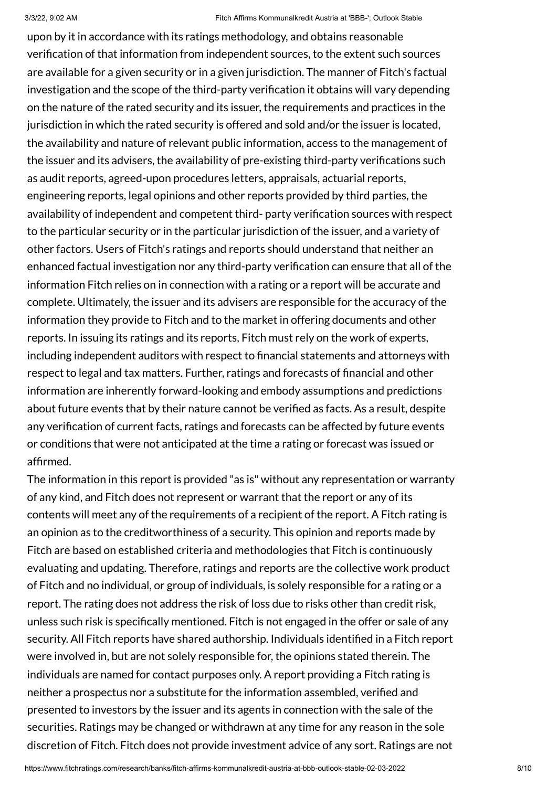upon by it in accordance with its ratings methodology, and obtains reasonable verification of that information from independent sources, to the extent such sources are available for a given security or in a given jurisdiction. The manner of Fitch's factual investigation and the scope of the third-party verification it obtains will vary depending on the nature of the rated security and its issuer, the requirements and practices in the jurisdiction in which the rated security is offered and sold and/or the issuer is located, the availability and nature of relevant public information, access to the management of the issuer and its advisers, the availability of pre-existing third-party verifications such as audit reports, agreed-upon procedures letters, appraisals, actuarial reports, engineering reports, legal opinions and other reports provided by third parties, the availability of independent and competent third- party verification sources with respect to the particular security or in the particular jurisdiction of the issuer, and a variety of other factors. Users of Fitch's ratings and reports should understand that neither an enhanced factual investigation nor any third-party verification can ensure that all of the information Fitch relies on in connection with a rating or a report will be accurate and complete. Ultimately, the issuer and its advisers are responsible for the accuracy of the information they provide to Fitch and to the market in offering documents and other reports. In issuing its ratings and its reports, Fitch must rely on the work of experts, including independent auditors with respect to financial statements and attorneys with respect to legal and tax matters. Further, ratings and forecasts of financial and other information are inherently forward-looking and embody assumptions and predictions about future events that by their nature cannot be verified as facts. As a result, despite any verification of current facts, ratings and forecasts can be affected by future events or conditions that were not anticipated at the time a rating or forecast was issued or affirmed.

The information in this report is provided "as is" without any representation or warranty of any kind, and Fitch does not represent or warrant that the report or any of its contents will meet any of the requirements of a recipient of the report. A Fitch rating is an opinion as to the creditworthiness of a security. This opinion and reports made by Fitch are based on established criteria and methodologies that Fitch is continuously evaluating and updating. Therefore, ratings and reports are the collective work product of Fitch and no individual, or group of individuals, is solely responsible for a rating or a report. The rating does not address the risk of loss due to risks other than credit risk, unless such risk is specifically mentioned. Fitch is not engaged in the offer or sale of any security. All Fitch reports have shared authorship. Individuals identified in a Fitch report were involved in, but are not solely responsible for, the opinions stated therein. The individuals are named for contact purposes only. A report providing a Fitch rating is neither a prospectus nor a substitute for the information assembled, verified and presented to investors by the issuer and its agents in connection with the sale of the securities. Ratings may be changed or withdrawn at any time for any reason in the sole discretion of Fitch. Fitch does not provide investment advice of any sort. Ratings are not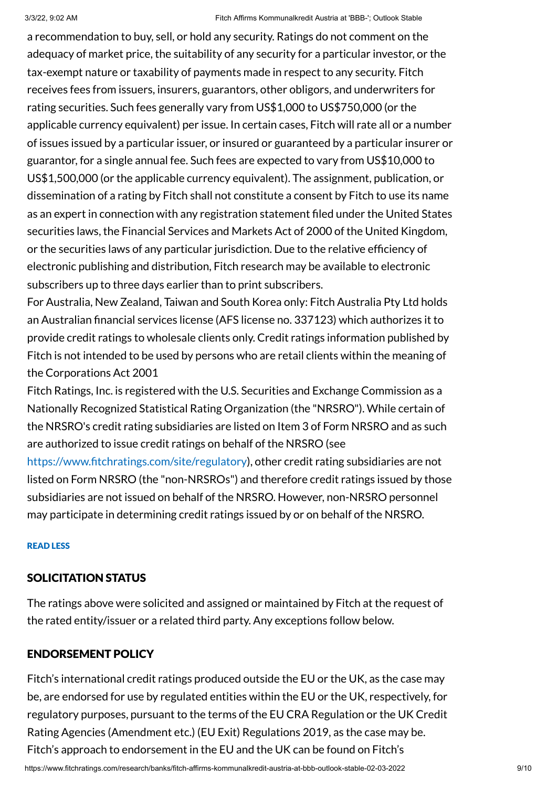a recommendation to buy, sell, or hold any security. Ratings do not comment on the adequacy of market price, the suitability of any security for a particular investor, or the tax-exempt nature or taxability of payments made in respect to any security. Fitch receives fees from issuers, insurers, guarantors, other obligors, and underwriters for rating securities. Such fees generally vary from US\$1,000 to US\$750,000 (or the applicable currency equivalent) per issue. In certain cases, Fitch will rate all or a number of issues issued by a particular issuer, or insured or guaranteed by a particular insurer or guarantor, for a single annual fee. Such fees are expected to vary from US\$10,000 to US\$1,500,000 (or the applicable currency equivalent). The assignment, publication, or dissemination of a rating by Fitch shall not constitute a consent by Fitch to use its name as an expert in connection with any registration statement filed under the United States securities laws, the Financial Services and Markets Act of 2000 of the United Kingdom, or the securities laws of any particular jurisdiction. Due to the relative efficiency of electronic publishing and distribution, Fitch research may be available to electronic subscribers up to three days earlier than to print subscribers.

For Australia, New Zealand, Taiwan and South Korea only: Fitch Australia Pty Ltd holds an Australian financial services license (AFS license no. 337123) which authorizes it to provide credit ratings to wholesale clients only. Credit ratings information published by Fitch is not intended to be used by persons who are retail clients within the meaning of the Corporations Act 2001

Fitch Ratings, Inc. is registered with the U.S. Securities and Exchange Commission as a Nationally Recognized Statistical Rating Organization (the "NRSRO"). While certain of the NRSRO's credit rating subsidiaries are listed on Item 3 of Form NRSRO and as such are authorized to issue credit ratings on behalf of the NRSRO (see

<https://www.fitchratings.com/site/regulatory>), other credit rating subsidiaries are not listed on Form NRSRO (the "non-NRSROs") and therefore credit ratings issued by those subsidiaries are not issued on behalf of the NRSRO. However, non-NRSRO personnel may participate in determining credit ratings issued by or on behalf of the NRSRO.

#### READ LESS

#### SOLICITATION STATUS

The ratings above were solicited and assigned or maintained by Fitch at the request of the rated entity/issuer or a related third party. Any exceptions follow below.

#### <span id="page-8-0"></span>ENDORSEMENT POLICY

Fitch's international credit ratings produced outside the EU or the UK, as the case may be, are endorsed for use by regulated entities within the EU or the UK, respectively, for regulatory purposes, pursuant to the terms of the EU CRA Regulation or the UK Credit Rating Agencies (Amendment etc.) (EU Exit) Regulations 2019, as the case may be. Fitch's approach to endorsement in the EU and the UK can be found on Fitch's